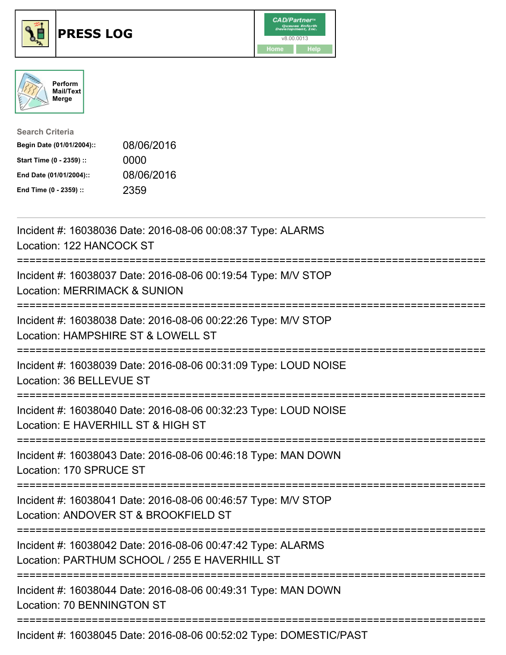





| <b>Search Criteria</b>    |            |
|---------------------------|------------|
| Begin Date (01/01/2004):: | 08/06/2016 |
| Start Time (0 - 2359) ::  | 0000       |
| End Date (01/01/2004)::   | 08/06/2016 |
| End Time (0 - 2359) ::    | 2359       |

| Incident #: 16038036 Date: 2016-08-06 00:08:37 Type: ALARMS<br>Location: 122 HANCOCK ST                      |
|--------------------------------------------------------------------------------------------------------------|
| Incident #: 16038037 Date: 2016-08-06 00:19:54 Type: M/V STOP<br><b>Location: MERRIMACK &amp; SUNION</b>     |
| Incident #: 16038038 Date: 2016-08-06 00:22:26 Type: M/V STOP<br>Location: HAMPSHIRE ST & LOWELL ST          |
| Incident #: 16038039 Date: 2016-08-06 00:31:09 Type: LOUD NOISE<br>Location: 36 BELLEVUE ST                  |
| Incident #: 16038040 Date: 2016-08-06 00:32:23 Type: LOUD NOISE<br>Location: E HAVERHILL ST & HIGH ST        |
| Incident #: 16038043 Date: 2016-08-06 00:46:18 Type: MAN DOWN<br>Location: 170 SPRUCE ST                     |
| Incident #: 16038041 Date: 2016-08-06 00:46:57 Type: M/V STOP<br>Location: ANDOVER ST & BROOKFIELD ST        |
| Incident #: 16038042 Date: 2016-08-06 00:47:42 Type: ALARMS<br>Location: PARTHUM SCHOOL / 255 E HAVERHILL ST |
| Incident #: 16038044 Date: 2016-08-06 00:49:31 Type: MAN DOWN<br>Location: 70 BENNINGTON ST                  |

Incident #: 16038045 Date: 2016-08-06 00:52:02 Type: DOMESTIC/PAST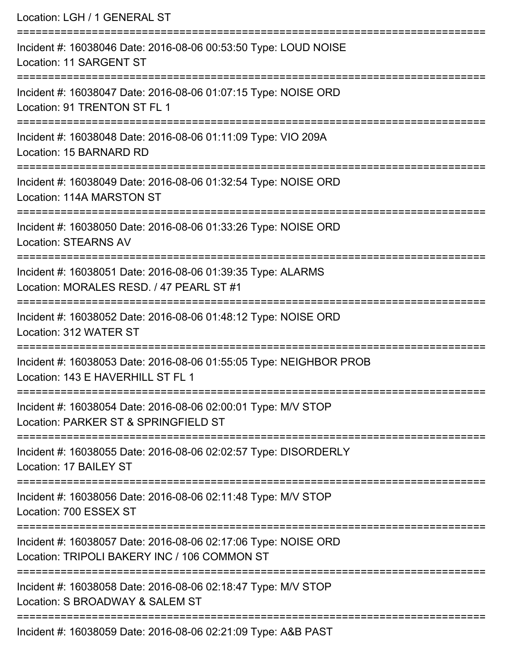| Location: LGH / 1 GENERAL ST                                                                                                                           |
|--------------------------------------------------------------------------------------------------------------------------------------------------------|
| Incident #: 16038046 Date: 2016-08-06 00:53:50 Type: LOUD NOISE<br><b>Location: 11 SARGENT ST</b>                                                      |
| Incident #: 16038047 Date: 2016-08-06 01:07:15 Type: NOISE ORD<br>Location: 91 TRENTON ST FL 1                                                         |
| Incident #: 16038048 Date: 2016-08-06 01:11:09 Type: VIO 209A<br>Location: 15 BARNARD RD                                                               |
| Incident #: 16038049 Date: 2016-08-06 01:32:54 Type: NOISE ORD<br>Location: 114A MARSTON ST                                                            |
| Incident #: 16038050 Date: 2016-08-06 01:33:26 Type: NOISE ORD<br><b>Location: STEARNS AV</b>                                                          |
| --------------------------------<br>Incident #: 16038051 Date: 2016-08-06 01:39:35 Type: ALARMS<br>Location: MORALES RESD. / 47 PEARL ST #1            |
| Incident #: 16038052 Date: 2016-08-06 01:48:12 Type: NOISE ORD<br>Location: 312 WATER ST                                                               |
| Incident #: 16038053 Date: 2016-08-06 01:55:05 Type: NEIGHBOR PROB<br>Location: 143 E HAVERHILL ST FL 1                                                |
| Incident #: 16038054 Date: 2016-08-06 02:00:01 Type: M/V STOP<br>Location: PARKER ST & SPRINGFIELD ST                                                  |
| Incident #: 16038055 Date: 2016-08-06 02:02:57 Type: DISORDERLY<br>Location: 17 BAILEY ST                                                              |
| Incident #: 16038056 Date: 2016-08-06 02:11:48 Type: M/V STOP<br>Location: 700 ESSEX ST                                                                |
| ------------------------------------<br>Incident #: 16038057 Date: 2016-08-06 02:17:06 Type: NOISE ORD<br>Location: TRIPOLI BAKERY INC / 106 COMMON ST |
| Incident #: 16038058 Date: 2016-08-06 02:18:47 Type: M/V STOP<br>Location: S BROADWAY & SALEM ST                                                       |
| $0.000050$ $D_{\text{obs}}$ , $0.040$ , $0.0000$ , $0.004$ , $0.00$ $\overline{T}$ , $\overline{m}_{\text{obs}}$ , $0.0000$ $\overline{D}$ , $0.07$    |

Incident #: 16038059 Date: 2016-08-06 02:21:09 Type: A&B PAST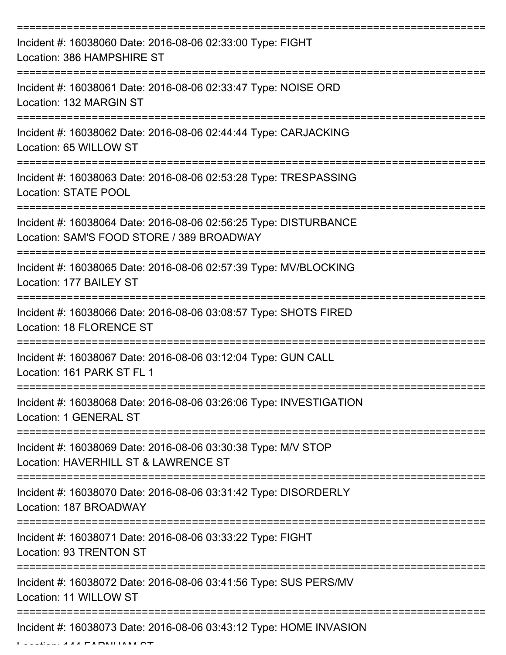| Incident #: 16038060 Date: 2016-08-06 02:33:00 Type: FIGHT<br>Location: 386 HAMPSHIRE ST                                              |
|---------------------------------------------------------------------------------------------------------------------------------------|
| Incident #: 16038061 Date: 2016-08-06 02:33:47 Type: NOISE ORD<br>Location: 132 MARGIN ST                                             |
| Incident #: 16038062 Date: 2016-08-06 02:44:44 Type: CARJACKING<br>Location: 65 WILLOW ST                                             |
| Incident #: 16038063 Date: 2016-08-06 02:53:28 Type: TRESPASSING<br>Location: STATE POOL                                              |
| Incident #: 16038064 Date: 2016-08-06 02:56:25 Type: DISTURBANCE<br>Location: SAM'S FOOD STORE / 389 BROADWAY<br>==================== |
| Incident #: 16038065 Date: 2016-08-06 02:57:39 Type: MV/BLOCKING<br>Location: 177 BAILEY ST                                           |
| Incident #: 16038066 Date: 2016-08-06 03:08:57 Type: SHOTS FIRED<br><b>Location: 18 FLORENCE ST</b>                                   |
| Incident #: 16038067 Date: 2016-08-06 03:12:04 Type: GUN CALL<br>Location: 161 PARK ST FL 1                                           |
| Incident #: 16038068 Date: 2016-08-06 03:26:06 Type: INVESTIGATION<br>Location: 1 GENERAL ST                                          |
| Incident #: 16038069 Date: 2016-08-06 03:30:38 Type: M/V STOP<br>Location: HAVERHILL ST & LAWRENCE ST                                 |
| Incident #: 16038070 Date: 2016-08-06 03:31:42 Type: DISORDERLY<br>Location: 187 BROADWAY                                             |
| Incident #: 16038071 Date: 2016-08-06 03:33:22 Type: FIGHT<br>Location: 93 TRENTON ST                                                 |
| Incident #: 16038072 Date: 2016-08-06 03:41:56 Type: SUS PERS/MV<br>Location: 11 WILLOW ST                                            |
| Incident #: 16038073 Date: 2016-08-06 03:43:12 Type: HOME INVASION                                                                    |

 $L = L/L$ . 144 FARNHAM ST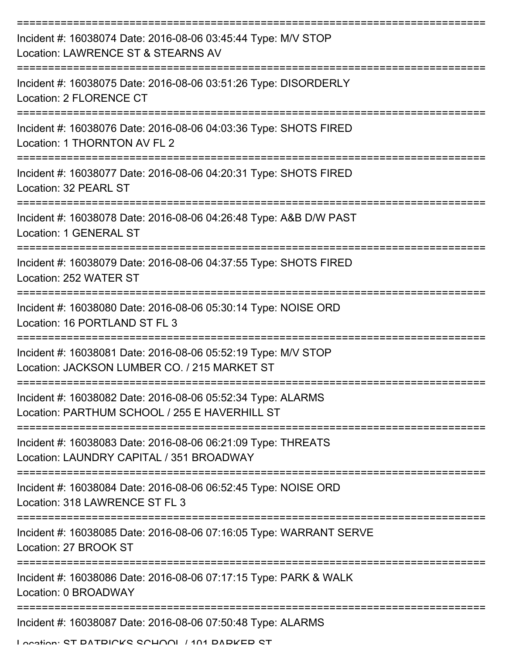| Incident #: 16038074 Date: 2016-08-06 03:45:44 Type: M/V STOP<br>Location: LAWRENCE ST & STEARNS AV           |
|---------------------------------------------------------------------------------------------------------------|
| Incident #: 16038075 Date: 2016-08-06 03:51:26 Type: DISORDERLY<br>Location: 2 FLORENCE CT                    |
| Incident #: 16038076 Date: 2016-08-06 04:03:36 Type: SHOTS FIRED<br>Location: 1 THORNTON AV FL 2              |
| Incident #: 16038077 Date: 2016-08-06 04:20:31 Type: SHOTS FIRED<br>Location: 32 PEARL ST                     |
| Incident #: 16038078 Date: 2016-08-06 04:26:48 Type: A&B D/W PAST<br>Location: 1 GENERAL ST                   |
| Incident #: 16038079 Date: 2016-08-06 04:37:55 Type: SHOTS FIRED<br>Location: 252 WATER ST                    |
| Incident #: 16038080 Date: 2016-08-06 05:30:14 Type: NOISE ORD<br>Location: 16 PORTLAND ST FL 3               |
| Incident #: 16038081 Date: 2016-08-06 05:52:19 Type: M/V STOP<br>Location: JACKSON LUMBER CO. / 215 MARKET ST |
| Incident #: 16038082 Date: 2016-08-06 05:52:34 Type: ALARMS<br>Location: PARTHUM SCHOOL / 255 E HAVERHILL ST  |
| Incident #: 16038083 Date: 2016-08-06 06:21:09 Type: THREATS<br>Location: LAUNDRY CAPITAL / 351 BROADWAY      |
| Incident #: 16038084 Date: 2016-08-06 06:52:45 Type: NOISE ORD<br>Location: 318 LAWRENCE ST FL 3              |
| Incident #: 16038085 Date: 2016-08-06 07:16:05 Type: WARRANT SERVE<br>Location: 27 BROOK ST                   |
| Incident #: 16038086 Date: 2016-08-06 07:17:15 Type: PARK & WALK<br>Location: 0 BROADWAY                      |
| Incident #: 16038087 Date: 2016-08-06 07:50:48 Type: ALARMS                                                   |

Location: ST DATDICKS SCHOOL / 101 DADKED ST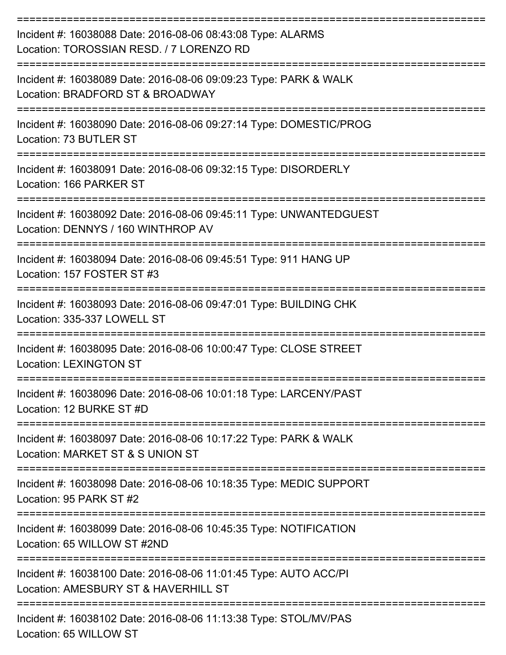| Incident #: 16038088 Date: 2016-08-06 08:43:08 Type: ALARMS<br>Location: TOROSSIAN RESD. / 7 LORENZO RD                               |
|---------------------------------------------------------------------------------------------------------------------------------------|
| Incident #: 16038089 Date: 2016-08-06 09:09:23 Type: PARK & WALK<br>Location: BRADFORD ST & BROADWAY                                  |
| Incident #: 16038090 Date: 2016-08-06 09:27:14 Type: DOMESTIC/PROG<br>Location: 73 BUTLER ST                                          |
| Incident #: 16038091 Date: 2016-08-06 09:32:15 Type: DISORDERLY<br>Location: 166 PARKER ST                                            |
| Incident #: 16038092 Date: 2016-08-06 09:45:11 Type: UNWANTEDGUEST<br>Location: DENNYS / 160 WINTHROP AV                              |
| Incident #: 16038094 Date: 2016-08-06 09:45:51 Type: 911 HANG UP<br>Location: 157 FOSTER ST #3                                        |
| Incident #: 16038093 Date: 2016-08-06 09:47:01 Type: BUILDING CHK<br>Location: 335-337 LOWELL ST                                      |
| Incident #: 16038095 Date: 2016-08-06 10:00:47 Type: CLOSE STREET<br><b>Location: LEXINGTON ST</b>                                    |
| Incident #: 16038096 Date: 2016-08-06 10:01:18 Type: LARCENY/PAST<br>Location: 12 BURKE ST #D<br>----------------                     |
| Incident #: 16038097 Date: 2016-08-06 10:17:22 Type: PARK & WALK<br>Location: MARKET ST & S UNION ST                                  |
| Incident #: 16038098 Date: 2016-08-06 10:18:35 Type: MEDIC SUPPORT<br>Location: 95 PARK ST #2                                         |
| ;================================<br>Incident #: 16038099 Date: 2016-08-06 10:45:35 Type: NOTIFICATION<br>Location: 65 WILLOW ST #2ND |
| Incident #: 16038100 Date: 2016-08-06 11:01:45 Type: AUTO ACC/PI<br>Location: AMESBURY ST & HAVERHILL ST                              |
| ---------------------------------<br>Incident #: 16038102 Date: 2016-08-06 11:13:38 Type: STOL/MV/PAS                                 |

Location: 65 WILLOW ST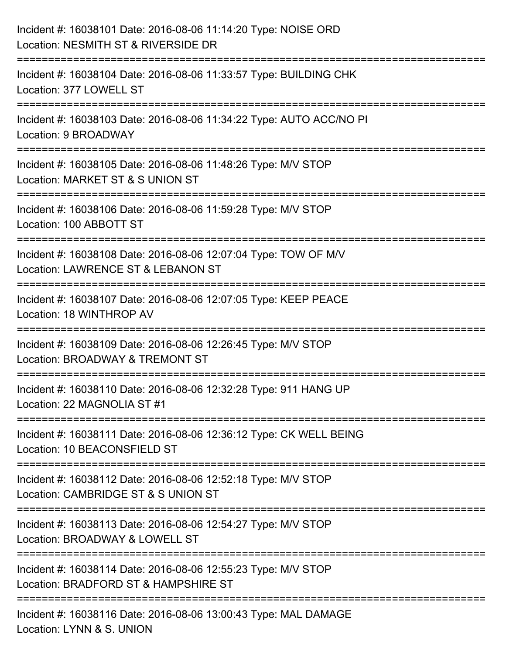| Incident #: 16038101 Date: 2016-08-06 11:14:20 Type: NOISE ORD<br>Location: NESMITH ST & RIVERSIDE DR                           |
|---------------------------------------------------------------------------------------------------------------------------------|
| Incident #: 16038104 Date: 2016-08-06 11:33:57 Type: BUILDING CHK<br>Location: 377 LOWELL ST                                    |
| Incident #: 16038103 Date: 2016-08-06 11:34:22 Type: AUTO ACC/NO PI<br>Location: 9 BROADWAY                                     |
| Incident #: 16038105 Date: 2016-08-06 11:48:26 Type: M/V STOP<br>Location: MARKET ST & S UNION ST                               |
| Incident #: 16038106 Date: 2016-08-06 11:59:28 Type: M/V STOP<br>Location: 100 ABBOTT ST                                        |
| Incident #: 16038108 Date: 2016-08-06 12:07:04 Type: TOW OF M/V<br>Location: LAWRENCE ST & LEBANON ST<br>====================== |
| Incident #: 16038107 Date: 2016-08-06 12:07:05 Type: KEEP PEACE<br>Location: 18 WINTHROP AV                                     |
| Incident #: 16038109 Date: 2016-08-06 12:26:45 Type: M/V STOP<br>Location: BROADWAY & TREMONT ST                                |
| Incident #: 16038110 Date: 2016-08-06 12:32:28 Type: 911 HANG UP<br>Location: 22 MAGNOLIA ST #1                                 |
| Incident #: 16038111 Date: 2016-08-06 12:36:12 Type: CK WELL BEING<br>Location: 10 BEACONSFIELD ST                              |
| Incident #: 16038112 Date: 2016-08-06 12:52:18 Type: M/V STOP<br>Location: CAMBRIDGE ST & S UNION ST                            |
| Incident #: 16038113 Date: 2016-08-06 12:54:27 Type: M/V STOP<br>Location: BROADWAY & LOWELL ST                                 |
| Incident #: 16038114 Date: 2016-08-06 12:55:23 Type: M/V STOP<br>Location: BRADFORD ST & HAMPSHIRE ST                           |
| Incident #: 16038116 Date: 2016-08-06 13:00:43 Type: MAL DAMAGE<br>Location: LYNN & S. UNION                                    |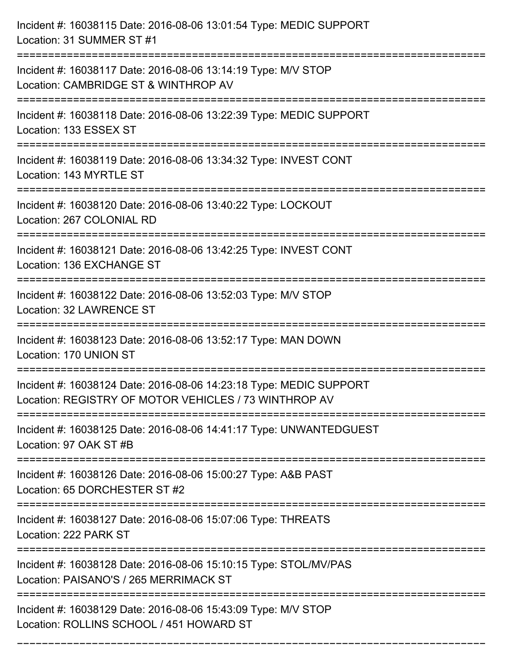| Incident #: 16038115 Date: 2016-08-06 13:01:54 Type: MEDIC SUPPORT<br>Location: 31 SUMMER ST #1                             |
|-----------------------------------------------------------------------------------------------------------------------------|
| Incident #: 16038117 Date: 2016-08-06 13:14:19 Type: M/V STOP<br>Location: CAMBRIDGE ST & WINTHROP AV                       |
| Incident #: 16038118 Date: 2016-08-06 13:22:39 Type: MEDIC SUPPORT<br>Location: 133 ESSEX ST                                |
| Incident #: 16038119 Date: 2016-08-06 13:34:32 Type: INVEST CONT<br>Location: 143 MYRTLE ST                                 |
| Incident #: 16038120 Date: 2016-08-06 13:40:22 Type: LOCKOUT<br>Location: 267 COLONIAL RD                                   |
| Incident #: 16038121 Date: 2016-08-06 13:42:25 Type: INVEST CONT<br>Location: 136 EXCHANGE ST                               |
| Incident #: 16038122 Date: 2016-08-06 13:52:03 Type: M/V STOP<br>Location: 32 LAWRENCE ST<br>==========                     |
| Incident #: 16038123 Date: 2016-08-06 13:52:17 Type: MAN DOWN<br>Location: 170 UNION ST                                     |
| Incident #: 16038124 Date: 2016-08-06 14:23:18 Type: MEDIC SUPPORT<br>Location: REGISTRY OF MOTOR VEHICLES / 73 WINTHROP AV |
| Incident #: 16038125 Date: 2016-08-06 14:41:17 Type: UNWANTEDGUEST<br>Location: 97 OAK ST #B                                |
| Incident #: 16038126 Date: 2016-08-06 15:00:27 Type: A&B PAST<br>Location: 65 DORCHESTER ST #2                              |
| Incident #: 16038127 Date: 2016-08-06 15:07:06 Type: THREATS<br>Location: 222 PARK ST                                       |
| Incident #: 16038128 Date: 2016-08-06 15:10:15 Type: STOL/MV/PAS<br>Location: PAISANO'S / 265 MERRIMACK ST                  |
| Incident #: 16038129 Date: 2016-08-06 15:43:09 Type: M/V STOP<br>Location: ROLLINS SCHOOL / 451 HOWARD ST                   |

===========================================================================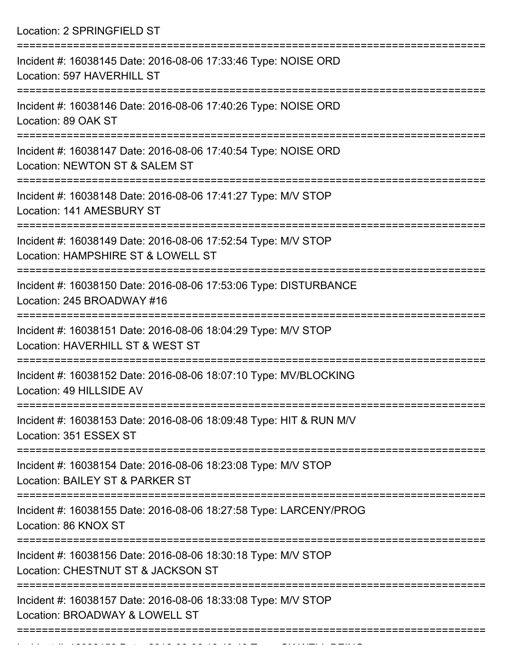Location: 2 SPRINGFIELD ST =========================================================================== Incident #: 16038145 Date: 2016-08-06 17:33:46 Type: NOISE ORD Location: 597 HAVERHILL ST =========================================================================== Incident #: 16038146 Date: 2016-08-06 17:40:26 Type: NOISE ORD Location: 89 OAK ST =========================================================================== Incident #: 16038147 Date: 2016-08-06 17:40:54 Type: NOISE ORD Location: NEWTON ST & SALEM ST =========================================================================== Incident #: 16038148 Date: 2016-08-06 17:41:27 Type: M/V STOP Location: 141 AMESBURY ST =========================================================================== Incident #: 16038149 Date: 2016-08-06 17:52:54 Type: M/V STOP Location: HAMPSHIRE ST & LOWELL ST =========================================================================== Incident #: 16038150 Date: 2016-08-06 17:53:06 Type: DISTURBANCE Location: 245 BROADWAY #16 =========================================================================== Incident #: 16038151 Date: 2016-08-06 18:04:29 Type: M/V STOP Location: HAVERHILL ST & WEST ST =========================================================================== Incident #: 16038152 Date: 2016-08-06 18:07:10 Type: MV/BLOCKING Location: 49 HILLSIDE AV =========================================================================== Incident #: 16038153 Date: 2016-08-06 18:09:48 Type: HIT & RUN M/V Location: 351 ESSEX ST =========================================================================== Incident #: 16038154 Date: 2016-08-06 18:23:08 Type: M/V STOP Location: BAILEY ST & PARKER ST =========================================================================== Incident #: 16038155 Date: 2016-08-06 18:27:58 Type: LARCENY/PROG Location: 86 KNOX ST =========================================================================== Incident #: 16038156 Date: 2016-08-06 18:30:18 Type: M/V STOP Location: CHESTNUT ST & JACKSON ST =========================================================================== Incident #: 16038157 Date: 2016-08-06 18:33:08 Type: M/V STOP Location: BROADWAY & LOWELL ST ===========================================================================

Incident #: 16038158 Date: 2016 08 06 18:40:49 Type: CK WELL BEING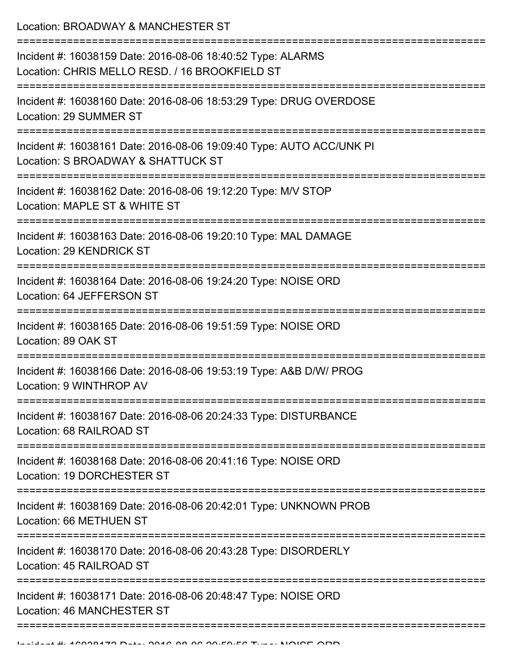Location: BROADWAY & MANCHESTER ST

| Incident #: 16038159 Date: 2016-08-06 18:40:52 Type: ALARMS<br>Location: CHRIS MELLO RESD. / 16 BROOKFIELD ST |
|---------------------------------------------------------------------------------------------------------------|
| Incident #: 16038160 Date: 2016-08-06 18:53:29 Type: DRUG OVERDOSE<br>Location: 29 SUMMER ST                  |
| Incident #: 16038161 Date: 2016-08-06 19:09:40 Type: AUTO ACC/UNK PI<br>Location: S BROADWAY & SHATTUCK ST    |
| Incident #: 16038162 Date: 2016-08-06 19:12:20 Type: M/V STOP<br>Location: MAPLE ST & WHITE ST                |
| Incident #: 16038163 Date: 2016-08-06 19:20:10 Type: MAL DAMAGE<br>Location: 29 KENDRICK ST                   |
| Incident #: 16038164 Date: 2016-08-06 19:24:20 Type: NOISE ORD<br>Location: 64 JEFFERSON ST                   |
| Incident #: 16038165 Date: 2016-08-06 19:51:59 Type: NOISE ORD<br>Location: 89 OAK ST                         |
| Incident #: 16038166 Date: 2016-08-06 19:53:19 Type: A&B D/W/ PROG<br>Location: 9 WINTHROP AV                 |
| Incident #: 16038167 Date: 2016-08-06 20:24:33 Type: DISTURBANCE<br>Location: 68 RAILROAD ST                  |
| Incident #: 16038168 Date: 2016-08-06 20:41:16 Type: NOISE ORD<br>Location: 19 DORCHESTER ST                  |
| Incident #: 16038169 Date: 2016-08-06 20:42:01 Type: UNKNOWN PROB<br>Location: 66 METHUEN ST                  |
| Incident #: 16038170 Date: 2016-08-06 20:43:28 Type: DISORDERLY<br>Location: 45 RAILROAD ST                   |
| Incident #: 16038171 Date: 2016-08-06 20:48:47 Type: NOISE ORD<br><b>Location: 46 MANCHESTER ST</b>           |
|                                                                                                               |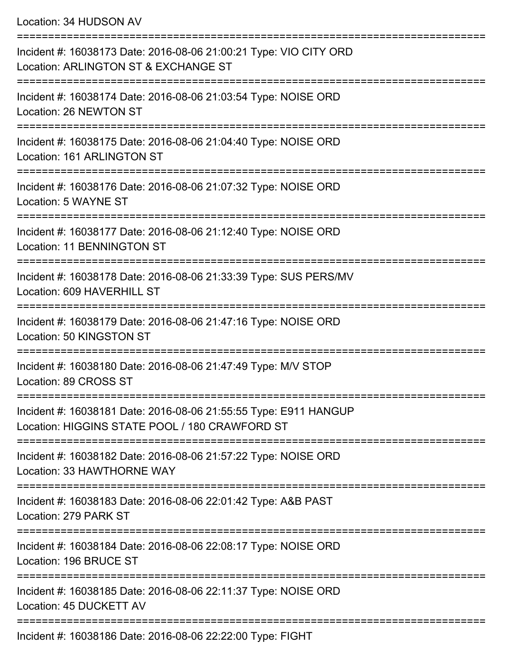Location: 34 HUDSON AV

| Incident #: 16038173 Date: 2016-08-06 21:00:21 Type: VIO CITY ORD<br>Location: ARLINGTON ST & EXCHANGE ST          |
|--------------------------------------------------------------------------------------------------------------------|
| Incident #: 16038174 Date: 2016-08-06 21:03:54 Type: NOISE ORD<br>Location: 26 NEWTON ST                           |
| Incident #: 16038175 Date: 2016-08-06 21:04:40 Type: NOISE ORD<br>Location: 161 ARLINGTON ST                       |
| Incident #: 16038176 Date: 2016-08-06 21:07:32 Type: NOISE ORD<br>Location: 5 WAYNE ST                             |
| Incident #: 16038177 Date: 2016-08-06 21:12:40 Type: NOISE ORD<br><b>Location: 11 BENNINGTON ST</b>                |
| Incident #: 16038178 Date: 2016-08-06 21:33:39 Type: SUS PERS/MV<br>Location: 609 HAVERHILL ST                     |
| Incident #: 16038179 Date: 2016-08-06 21:47:16 Type: NOISE ORD<br>Location: 50 KINGSTON ST                         |
| Incident #: 16038180 Date: 2016-08-06 21:47:49 Type: M/V STOP<br>Location: 89 CROSS ST                             |
| Incident #: 16038181 Date: 2016-08-06 21:55:55 Type: E911 HANGUP<br>Location: HIGGINS STATE POOL / 180 CRAWFORD ST |
| Incident #: 16038182 Date: 2016-08-06 21:57:22 Type: NOISE ORD<br>Location: 33 HAWTHORNE WAY                       |
| Incident #: 16038183 Date: 2016-08-06 22:01:42 Type: A&B PAST<br>Location: 279 PARK ST                             |
| Incident #: 16038184 Date: 2016-08-06 22:08:17 Type: NOISE ORD<br>Location: 196 BRUCE ST                           |
| Incident #: 16038185 Date: 2016-08-06 22:11:37 Type: NOISE ORD<br>Location: 45 DUCKETT AV                          |
| $I$ poident # $(16020106 \text{ Det})$ ; $2016.0006$ $20.22$ ; $20.005$                                            |

Incident #: 16038186 Date: 2016-08-06 22:22:00 Type: FIGHT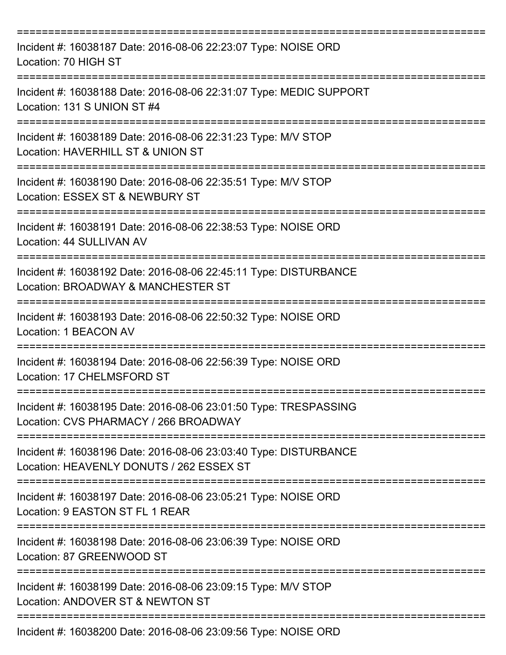| Incident #: 16038187 Date: 2016-08-06 22:23:07 Type: NOISE ORD<br>Location: 70 HIGH ST                                                         |
|------------------------------------------------------------------------------------------------------------------------------------------------|
| Incident #: 16038188 Date: 2016-08-06 22:31:07 Type: MEDIC SUPPORT<br>Location: 131 S UNION ST #4                                              |
| Incident #: 16038189 Date: 2016-08-06 22:31:23 Type: M/V STOP<br>Location: HAVERHILL ST & UNION ST<br>==============================           |
| Incident #: 16038190 Date: 2016-08-06 22:35:51 Type: M/V STOP<br>Location: ESSEX ST & NEWBURY ST                                               |
| Incident #: 16038191 Date: 2016-08-06 22:38:53 Type: NOISE ORD<br>Location: 44 SULLIVAN AV                                                     |
| =============<br>Incident #: 16038192 Date: 2016-08-06 22:45:11 Type: DISTURBANCE<br>Location: BROADWAY & MANCHESTER ST<br>------------------- |
| Incident #: 16038193 Date: 2016-08-06 22:50:32 Type: NOISE ORD<br>Location: 1 BEACON AV                                                        |
| Incident #: 16038194 Date: 2016-08-06 22:56:39 Type: NOISE ORD<br>Location: 17 CHELMSFORD ST                                                   |
| Incident #: 16038195 Date: 2016-08-06 23:01:50 Type: TRESPASSING<br>Location: CVS PHARMACY / 266 BROADWAY                                      |
| Incident #: 16038196 Date: 2016-08-06 23:03:40 Type: DISTURBANCE<br>Location: HEAVENLY DONUTS / 262 ESSEX ST                                   |
| Incident #: 16038197 Date: 2016-08-06 23:05:21 Type: NOISE ORD<br>Location: 9 EASTON ST FL 1 REAR                                              |
| Incident #: 16038198 Date: 2016-08-06 23:06:39 Type: NOISE ORD<br>Location: 87 GREENWOOD ST                                                    |
| Incident #: 16038199 Date: 2016-08-06 23:09:15 Type: M/V STOP<br>Location: ANDOVER ST & NEWTON ST                                              |
| Incident #: 16038200 Date: 2016-08-06 23:09:56 Type: NOISE ORD                                                                                 |